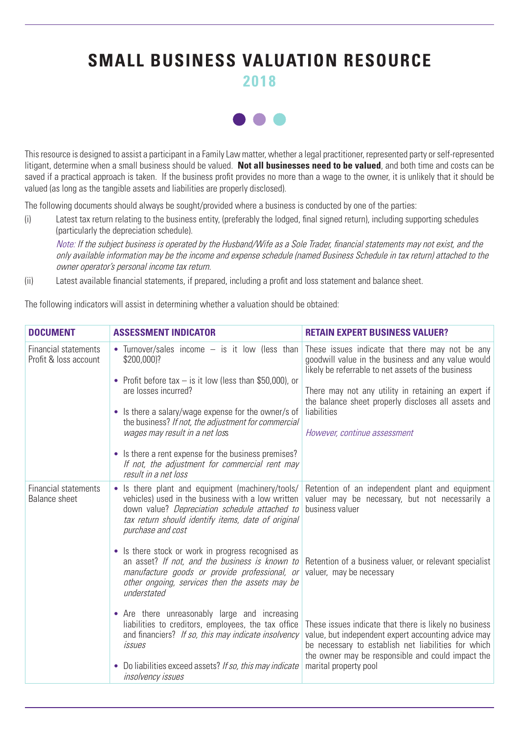## **SMALL BUSINESS VALUATION RESOURCE 2018**



This resource is designed to assist a participant in a Family Law matter, whether a legal practitioner, represented party or self-represented litigant, determine when a small business should be valued. **Not all businesses need to be valued**, and both time and costs can be saved if a practical approach is taken. If the business profit provides no more than a wage to the owner, it is unlikely that it should be valued (as long as the tangible assets and liabilities are properly disclosed).

The following documents should always be sought/provided where a business is conducted by one of the parties:

(i) Latest tax return relating to the business entity, (preferably the lodged, final signed return), including supporting schedules (particularly the depreciation schedule).

Note: If the subject business is operated by the Husband/Wife as a Sole Trader, financial statements may not exist, and the only available information may be the income and expense schedule (named Business Schedule in tax return) attached to the owner operator's personal income tax return.

(ii) Latest available financial statements, if prepared, including a profit and loss statement and balance sheet.

The following indicators will assist in determining whether a valuation should be obtained:

| <b>DOCUMENT</b>                                      | <b>ASSESSMENT INDICATOR</b>                                                                                                                                                                                                                                                                                                                                                                                                             | <b>RETAIN EXPERT BUSINESS VALUER?</b>                                                                                                                                                                                                                                                                                    |
|------------------------------------------------------|-----------------------------------------------------------------------------------------------------------------------------------------------------------------------------------------------------------------------------------------------------------------------------------------------------------------------------------------------------------------------------------------------------------------------------------------|--------------------------------------------------------------------------------------------------------------------------------------------------------------------------------------------------------------------------------------------------------------------------------------------------------------------------|
| <b>Financial statements</b><br>Profit & loss account | • Turnover/sales income $-$ is it low (less than<br>\$200,000)?<br>• Profit before tax $-$ is it low (less than \$50,000), or<br>are losses incurred?<br>• Is there a salary/wage expense for the owner/s of<br>the business? If not, the adjustment for commercial<br>wages may result in a net loss<br>• Is there a rent expense for the business premises?<br>If not, the adjustment for commercial rent may<br>result in a net loss | These issues indicate that there may not be any<br>goodwill value in the business and any value would<br>likely be referrable to net assets of the business<br>There may not any utility in retaining an expert if<br>the balance sheet properly discloses all assets and<br>liabilities<br>However, continue assessment |
| <b>Financial statements</b><br><b>Balance sheet</b>  | • Is there plant and equipment (machinery/tools/<br>vehicles) used in the business with a low written<br>down value? Depreciation schedule attached to<br>tax return should identify items, date of original<br>purchase and cost                                                                                                                                                                                                       | Retention of an independent plant and equipment<br>valuer may be necessary, but not necessarily a<br>business valuer                                                                                                                                                                                                     |
|                                                      | • Is there stock or work in progress recognised as<br>an asset? If not, and the business is known to<br>manufacture goods or provide professional, or<br>other ongoing, services then the assets may be<br>understated                                                                                                                                                                                                                  | Retention of a business valuer, or relevant specialist<br>valuer, may be necessary                                                                                                                                                                                                                                       |
|                                                      | • Are there unreasonably large and increasing<br>liabilities to creditors, employees, the tax office<br>and financiers? If so, this may indicate insolvency<br>issues<br>• Do liabilities exceed assets? If so, this may indicate<br><i>insolvency issues</i>                                                                                                                                                                           | These issues indicate that there is likely no business<br>value, but independent expert accounting advice may<br>be necessary to establish net liabilities for which<br>the owner may be responsible and could impact the<br>marital property pool                                                                       |